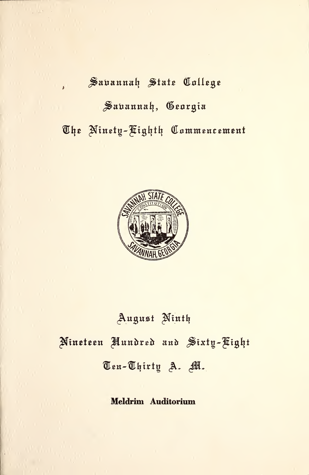# Sauannah State College Savannah, Georgia The Ninety-Fighth Commencement



August Ninth Nineteen Aundred and Sixty-Fight Ten-Thirty A. M.

Meldrim Auditorium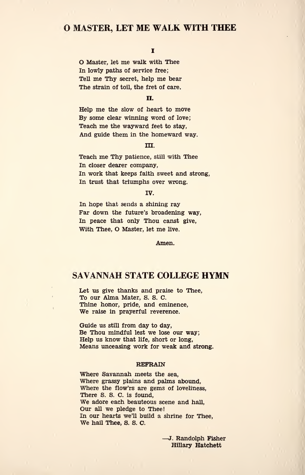# O MASTER, LET ME WALK WITH THEE

# i

O Master, let me walk with Thee In lowly paths of service free; Tell me Thy secret, help me bear The strain of toil, the fret of care.

#### II.

Help me the slow of heart to move By some clear winning word of love; Teach me the wayward feet to stay, And guide them in the homeward way.

#### in.

Teach me Thy patience, still with Thee In closer dearer company, In work that keeps faith sweet and strong, In trust that triumphs over wrong.

#### IV.

In hope that sends a shining ray Far down the future's broadening way, In peace that only Thou canst give, With Thee, O Master, let me live.

Amen.

# SAVANNAH STATE COLLEGE HYMN

Let us give thanks and praise to Thee, To our Alma Mater, S. S. C. Thine honor, pride, and eminence, We raise in prayerful reverence.

Guide us still from day to day, Be Thou mindful lest we lose our way; Help us know that life, short or long, Means unceasing work for weak and strong.

#### REFRAIN

Where Savannah meets the sea, Where grassy plains and palms abound, Where the flow'rs are gems of loveliness, There S. S. C. is found, We adore each beauteous scene and hall, Our all we pledge to Thee! In our hearts we'll build a shrine for Thee, We hail Thee, S. S. C.

> . Randolph Fisher Hillary Hatchett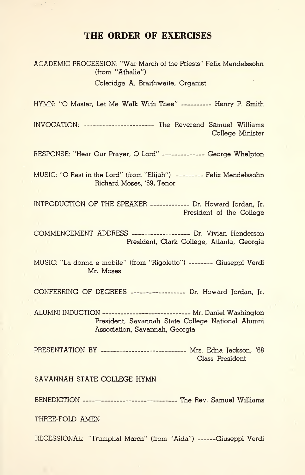# THE ORDER OF EXERCISES

ACADEMIC PROCESSION: "War March of the Priests" Felix Mendelssohn (from "Athalia")

Coleridge A. Braithwaite, Organist

HYMN: "O Master, Let Me Walk With Thee" ---------- Henry P. Smith

INVOCATION: ---------------------- The Reverend Samuel Williams College Minister

RESPONSE: "Hear Our Prayer, O Lord" ------------- George Whelpton

MUSIC: "O Rest in the Lord" (from "Elijah") --------- Felix Mendelssohn Richard Moses, '69, Tenor

INTRODUCTION OF THE SPEAKER ------------ Dr. Howard Jordan, Jr. President of the College

COMMENCEMENT ADDRESS ------------------- Dr. Vivian Henderson President, Clark College, Atlanta, Georgia

MUSIC: "La donna e mobile" (from "Rigoletto") -------- Giuseppi Verdi Mr. Moses

CONFERRING OF DEGREES ------------------ Dr. Howard Jordan, Jr.

ALUMNI INDUCTION --------------------------- Mr. Daniel Washington President, Savannah State College National Alumni Association, Savannah, Georgia

PRESENTATION BY -------------------------- Mrs. Edna Jackson, '68 Class President

SAVANNAH STATE COLLEGE HYMN

BENEDICTION ------------------------------ The Rev. Samuel Williams

THREE-FOLD AMEN

RECESSIONAL: "Trumphal March" (from "Aida") ------Giuseppi Verdi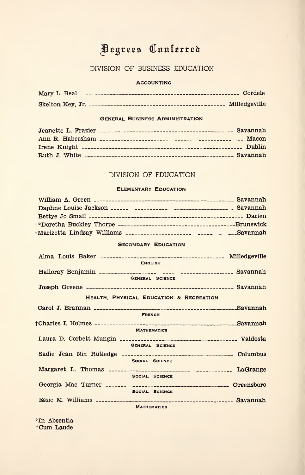# Begrees Conferred

# DIVISION OF BUSINESS EDUCATION

#### **ACCOUNTING**

# General Business Administration

# DIVISION OF EDUCATION

#### Elementary Education

# SECONDARY EDUCATION

| <b>ENGLISH</b>                          |  |
|-----------------------------------------|--|
|                                         |  |
| <b>GENERAL SCIENCE</b>                  |  |
|                                         |  |
| HEALTH, PHYSICAL EDUCATION & RECREATION |  |
|                                         |  |
| <b>FRENCH</b>                           |  |
|                                         |  |
| <b>MATHEMATICS</b>                      |  |
|                                         |  |
| <b>GENERAL SCIENCE</b>                  |  |
|                                         |  |
| SOCIAL SCIENCE                          |  |
|                                         |  |
| SOCIAL SCIENCE                          |  |
|                                         |  |
| SOCIAL SCIENCE                          |  |
|                                         |  |
| <b>MATHEMATICS</b>                      |  |

\*In Absentia fCum Laude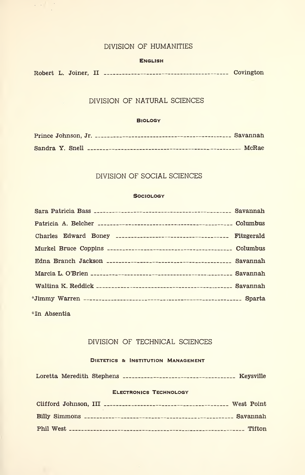# DIVISION OF HUMANITIES

 $\mathcal{L}(\mathcal{A})$  .

#### **ENGLISH**

Robert L. Joiner, II Covington

# DIVISION OF NATURAL SCIENCES

#### **BIOLOGY**

# DIVISION OF SOCIAL SCIENCES

#### **Sociology**

| Charles Edward Boney ___________________________________ Fitzgerald |  |
|---------------------------------------------------------------------|--|
|                                                                     |  |
|                                                                     |  |
|                                                                     |  |
|                                                                     |  |
|                                                                     |  |
| *In Absentia                                                        |  |

# DIVISION OF TECHNICAL SCIENCES

# DIETETICS & INSTITUTION MANAGEMENT

|  | Loretta Meredith Stephens ___________________________________ Keysville |  |
|--|-------------------------------------------------------------------------|--|
|  | <b>ELECTRONICS TECHNOLOGY</b>                                           |  |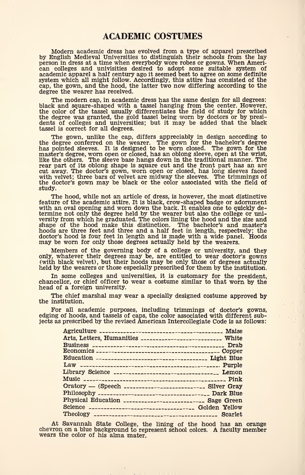Modern academic dress has evolved from a type of apparel prescribed by English Medieval Universities to distinguish their schools from the lay person in dress at a time when everybody wore robes or gowns. When American colleges and univisities desired to adopt some suitable system of academic apparel a half century ago it seemed best to agree on some definite system which all might follow. Accordingly, this attire has consisted of the cap, the gown, and the hood, the latter two now differing according to the degree the wearer has received.

The modern cap, in academic dress has the same design for all degrees; black and square-shaped with a tassel hanging from the center. However, the color of the tassel usually differentiates the field of study for which the degree was granted, the gold tassel being worn by doctors or by presidents of colleges and universities; but it may be added that the black tassel is correct for all degrees.

The gown, unlike the cap, differs appreciably in design according to the degree conferred on the wearer. The gown for the bachelor's degree has pointed sleeves. It is designed to be worn closed. The gown for the master's degree, worn open or closed, has an oblong sleeve, open at the wrist, like the others. The sleeve base hangs down in the traditional manner. The rear part of its oblong shape is square cut and the front part has an arc cut away. The doctor's gown, worn open or closed, has long sleeves faced with velvet; three bars of velvet are midway the sleeves. The trimmings of the doctor's gown may be black or the color associated with the field of study.

The hood, while not an article of dress, is however, the most distinctive feature of the academic attire. It is black, crow-shaped badge or adornment with an oval opening and worn down the back. It enables one to quickly determine not only the degree held by the wearer but also the college or university from which he graduated. The colors lining the hood and the size and shape of the hood make this distinction. The bachelor's and master's hoods are three feet and three and a half feet in length, respectvely; the doctor's hood is four feet in length and is made with a wide panel. Hoods may be worn for only those degrees actually held by the wearers.

Members of the governing body of a college or university, and they only, whatever their degrees may be, are entitled to wear doctor's gowns (with black velvet), but their hoods may be only those of degrees actually held by the wearers or those especially prescribed for them by the institution.

In some colleges and universities, it is customary for the president, chancellor, or chief officer to wear a costume similar to that worn by the head of a foreign university.

The chief marshal may wear a specially designed costume approved by the institution.

For all academic purposes, including trimmings of doctor's gowns, edging of hoods, and tassels of caps, the color associated with different subjects as prescribed by the revised American Intercollegiate Code is as follows:

| Maise                                                          |
|----------------------------------------------------------------|
| Arts, Letters, Humanities ______________________________ White |
|                                                                |
|                                                                |
|                                                                |
|                                                                |
| Library Science __________________________________ Lemon       |
|                                                                |
| Oratory — (Speech -------------------------- Silver Gray       |
|                                                                |
| Physical Education __________________________ Sage Green       |
| Science ________________________________ Golden Yellow         |
| Scarlet                                                        |
|                                                                |

At Savannah State College, the lining of the hood has an orange chevron on a blue background to represent school colors. A faculty member wears the color of his alma mater.